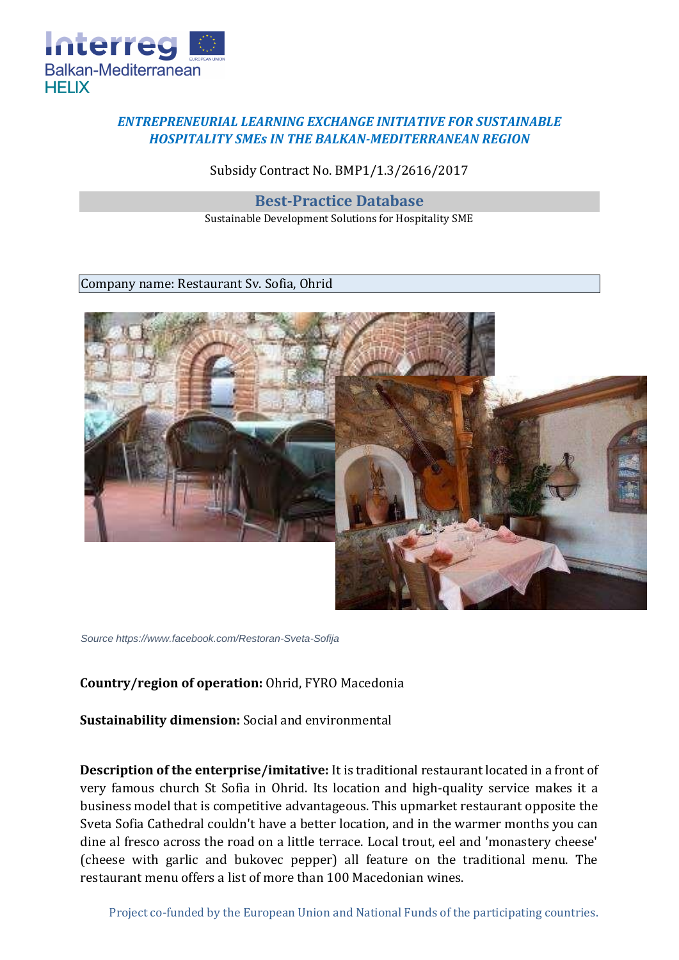

## *ENTREPRENEURIAL LEARNING EXCHANGE INITIATIVE FOR SUSTAINABLE HOSPITALITY SMEs IN THE BALKAN-MEDITERRANEAN REGION*

Subsidy Contract No. BMP1/1.3/2616/2017

**Best-Practice Database** 

Sustainable Development Solutions for Hospitality SME

Company name: Restaurant Sv. Sofia, Ohrid



*Source https://www.facebook.com/Restoran-Sveta-Sofija*

## **Country/region of operation:** Ohrid, FYRO Macedonia

**Sustainability dimension:** Social and environmental

**Description of the enterprise/imitative:** It is traditional restaurant located in a front of very famous church St Sofia in Ohrid. Its location and high-quality service makes it a business model that is competitive advantageous. This upmarket restaurant opposite the Sveta Sofia Cathedral couldn't have a better location, and in the warmer months you can dine al fresco across the road on a little terrace. Local trout, eel and 'monastery cheese' (cheese with garlic and bukovec pepper) all feature on the traditional menu. The restaurant menu offers a list of more than 100 Macedonian wines.

Project co-funded by the European Union and National Funds of the participating countries.